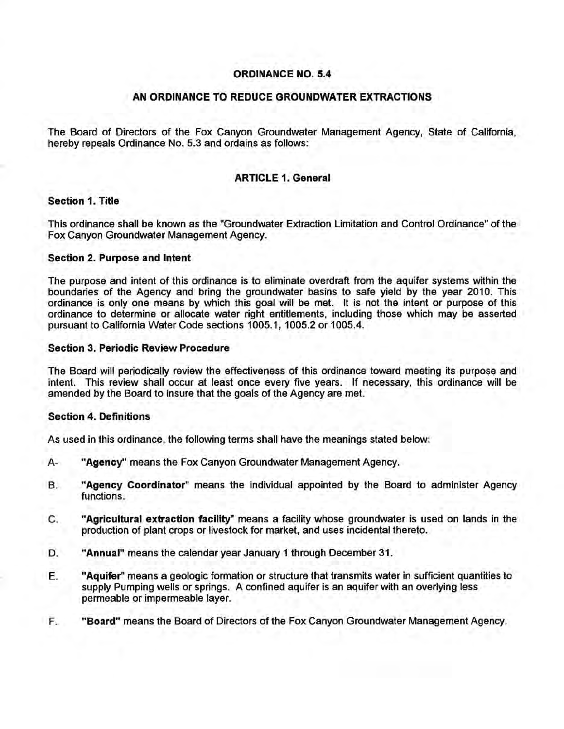# ORDINANCE NO. 5.4

## AN ORDINANCE TO REDUCE GROUNDWATER EXTRACTIONS

The Board of Directors of the Fox Canyon Groundwater Management Agency, State of California, hereby repeals Ordinance No. 5.3 and ordains as follows:

## ARTICLE 1. General

## Section 1. Title

This ordinance shall be known as the "Groundwater Extraction Limitation and Control Ordinance" of the Fox Canyon Groundwater Management Agency.

### Section 2. Purpose and Intent

The purpose and intent of this ordinance is to eliminate overdraft from the aquifer systems within the boundaries of the Agency and bring the groundwater basins to safe yield by the year 2010. This ordinance is only one means by which this goal will be met. It is not the intent or purpose of this ordinance to determine or allocate water right entitlements, including those which may be asserted pursuant to California Water Code sections 1005.1, 1005.2 or 1005.4.

### Section 3. Periodic Review Procedure

The Board will periodically review the effectiveness of this ordinance toward meeting its purpose and intent. This review shall occur at least once every five years. If necessary, this ordinance will be amended by the Board to insure that the goals of the Agency are met.

### Section 4. Definitions

As used in this ordinance, the following terms shall have the meanings stated below:

- A- "Agency" means the Fox Canyon Groundwater Management Agency.
- B. "Agency Coordinator" means the individual appointed by the Board to administer Agency functions.
- C. "Agricultural extraction facility" means a facility whose groundwater is used on lands in the production of plant crops or livestock for market, and uses incidental thereto.
- D. "Annual" means the calendar year January 1 through December 31.
- E. "Aquifer" means a geologic formation or structure that transmits water in sufficient quantities to supply Pumping wells or springs. A confined aquifer is an aquifer with an overlying less permeable or impermeable layer.
- F. "Board" means the Board of Directors of the Fox Canyon Groundwater Management Agency.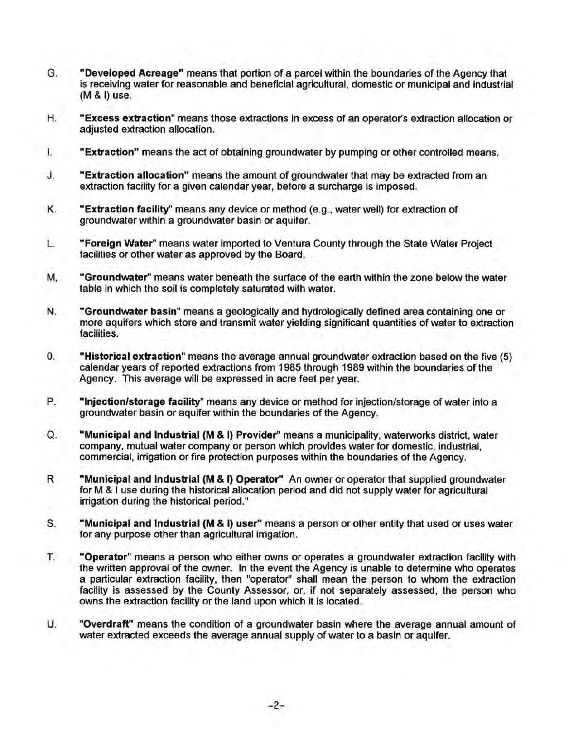- G. "Developed Acreage" means that portion of a parcel within the boundaries of the Agency that is receiving water for reasonable and beneficial agricultural, domestic or municipal and industrial  $(M 8 I)$  use.
- H. "Excess extraction" means those extractions in excess of an operator's extraction allocation or adjusted extraction allocation.
- I. "Extraction" means the act of obtaining groundwater by pumping or other controlled means.
- J. "Extraction allocation" means the amount of groundwater that may be extracted from an extraction facility for a given calendar year, before a surcharge is imposed.
- K. "Extraction facility" means any device or method (e.g., water well) for extraction of groundwater within a groundwater basin or aquifer.
- L. "Foreign Water" means water imported to Ventura County through the State Water Project facilities or other water as approved by the Board,
- M, "Groundwater" means water beneath the surface of the earth within the zone below the water table in which the soil is completely saturated with water.
- N. "Groundwater basin" means a geologically and hydrologically defined area containing one or more aquifers which store and transmit water yielding significant quantities of water to extraction facilities.
- 0. "Historical extraction" means the average annual groundwater extraction based on the five (5) calendar years of reported extractions from 1985 through 1989 within the boundaries of the Agency. This average will be expressed in acre feet per year.
- P. "Injection/storage facility" means any device or method for injection/storage of water into a groundwater basin or aquifer within the boundaries of the Agency.
- Q. "Municipal and Industrial (M & I) Provider" means a municipality, waterworks district, water company, mutual water company or person which provides water for domestic, industrial, commercial, irrigation or fire protection purposes within the boundaries of the Agency.
- R "Municipal and Industrial (M & I) Operator" An owner or operator that supplied groundwater for M & I use during the historical allocation period and did not supply water for agricultural irrigation during the historical period."
- S. "Municipal and Industrial (M & I) user" means a person or other entity that used or uses water for any purpose other than agricultural irrigation.
- T. "Operator" means a person who either owns or operates a groundwater extraction facility with the written approval of the owner. In the event the Agency is unable to determine who operates a particular extraction facility, then "operator" shall mean the person to whom the extraction facility is assessed by the County Assessor, or, if not separately assessed, the person who owns the extraction facility or the land upon which it is located.
- U. "Overdraft" means the condition of a groundwater basin where the average annual amount of water extracted exceeds the average annual supply of water to a basin or aquifer.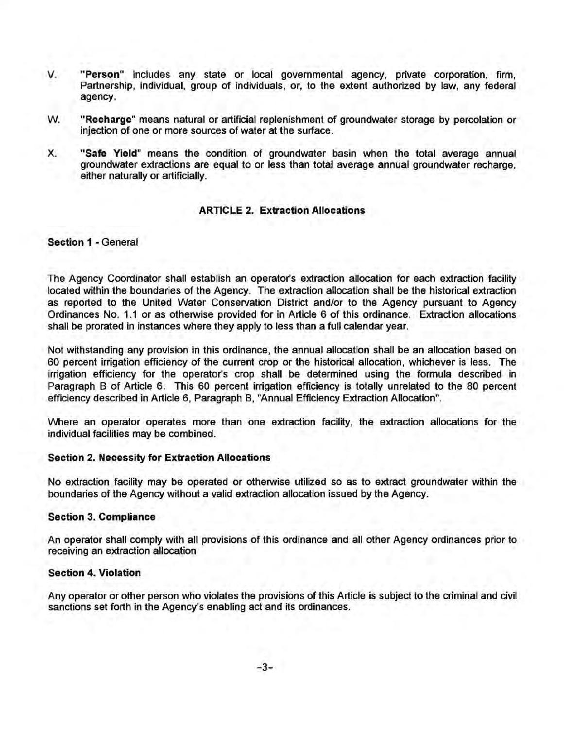- V. "Person" includes any state or local governmental agency, private corporation, firm, Partnership, individual, group of individuals, or, to the extent authorized by law, any federal agency.
- W. "Recharge" means natural or artificial replenishment of groundwater storage by percolation or injection of one or more sources of water at the surface.
- X. "Safe Yield" means the condition of groundwater basin when the total average annual groundwater extractions are equal to or less than total average annual groundwater recharge, either naturally or artificially.

## **ARTICLE 2. Extraction Allocations**

## Section 1 - General

The Agency Coordinator shall establish an operator's extraction allocation for each extraction facility located within the boundaries of the Agency. The extraction allocation shall be the historical extraction as reported to the United Water Conservation District and/or to the Agency pursuant to Agency Ordinances No. 1.1 or as otherwise provided for in Article 6 of this ordinance. Extraction allocations shall be prorated in instances where they apply to less than a full calendar year.

Not withstanding any provision in this ordinance, the annual allocation shall be an allocation based on 60 percent irrigation efficiency of the current crop or the historical allocation, whichever is less. The irrigation efficiency for the operator's crop shall be determined using the formula described in Paragraph B of Article 6. This 60 percent irrigation efficiency is totally unrelated to the 80 percent efficiency described in Article 6, Paragraph B, "Annual Efficiency Extraction Allocation".

Where an operator operates more than one extraction facility, the extraction allocations for the individual facilities may be combined.

### Section 2. Necessity for Extraction Allocations

No extraction facility may be operated or otherwise utilized so as to extract groundwater within the boundaries of the Agency without a valid extraction allocation issued by the Agency.

## Section 3. Compliance

An operator shall comply with all provisions of this ordinance and all other Agency ordinances prior to receiving an extraction allocation

## Section 4. Violation

Any operator or other person who violates the provisions of this Article is subject to the criminal and civil sanctions set forth in the Agency's enabling act and its ordinances.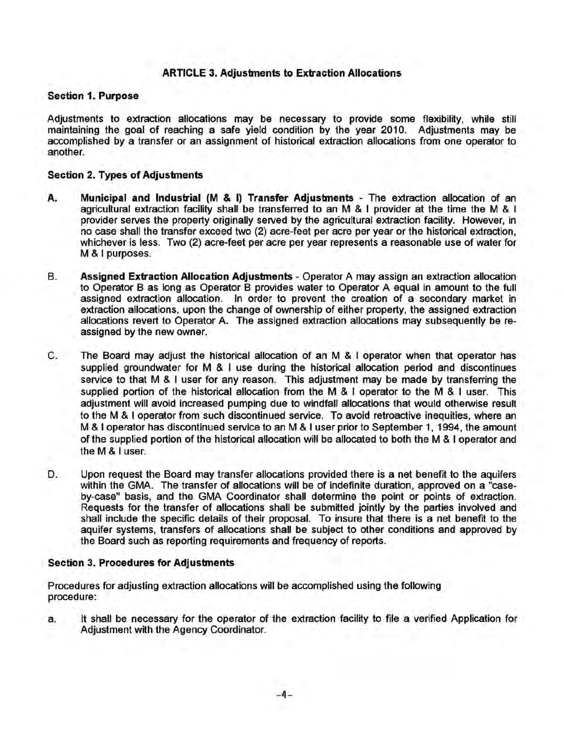# ARTICLE 3. Adjustments to Extraction Allocations

### Section 1. Purpose

Adjustments to extraction allocations may be necessary to provide some flexibility, while still maintaining the goal of reaching a safe yield condition by the year 2010. Adjustments may be accomplished by a transfer or an assignment of historical extraction allocations from one operator to another.

### Section 2. Types of Adjustments

- A. Municipal and Industrial (M & I) Transfer Adjustments The extraction allocation of an agricultural extraction facility shall be transferred to an M & I provider at the time the M & I provider serves the property originally served by the agricultural extraction facility. However, in no case shall the transfer exceed two (2) acre-feet per acre per year or the historical extraction, whichever is less. Two (2) acre-feet per acre per year represents a reasonable use of water for M & I purposes.
- B. Assigned Extraction Allocation Adjustments- Operator A may assign an extraction allocation to Operator B as long as Operator B provides water to Operator A equal in amount to the full assigned extraction allocation. In order to prevent the creation of a secondary market in extraction allocations, upon the change of ownership of either property, the assigned extraction allocations revert to Operator A. The assigned extraction allocations may subsequently be reassigned by the new owner.
- C. The Board may adjust the historical allocation of an M & I operator when that operator has supplied groundwater for M & I use during the historical allocation period and discontinues service to that M & I user for any reason. This adjustment may be made by transferring the supplied portion of the historical allocation from the M & I operator to the M & I user. This adjustment will avoid increased pumping due to windfall allocations that would otherwise result to the M & I operator from such discontinued service. To avoid retroactive inequities, where an M & I operator has discontinued service to an M & I user prior to September 1, 1994, the amount of the supplied portion of the historical allocation will be allocated to both the M & I operator and the M & I user.
- D. Upon request the Board may transfer allocations provided there is a net benefit to the aquifers within the GMA. The transfer of allocations will be of indefinite duration, approved on a "caseby-case" basis, and the GMA Coordinator shall determine the point or points of extraction. Requests for the transfer of allocations shall be submitted jointly by the parties involved and shall include the specific details of their proposal. To insure that there is a net benefit to the aquifer systems, transfers of allocations shall be subject to other conditions and approved by the Board such as reporting requirements and frequency of reports.

### Section 3. Procedures for Adjustments

Procedures for adjusting extraction allocations will be accomplished using the following procedure:

a. It shall be necessary for the operator of the extraction facility to file a verified Application for Adjustment with the Agency Coordinator.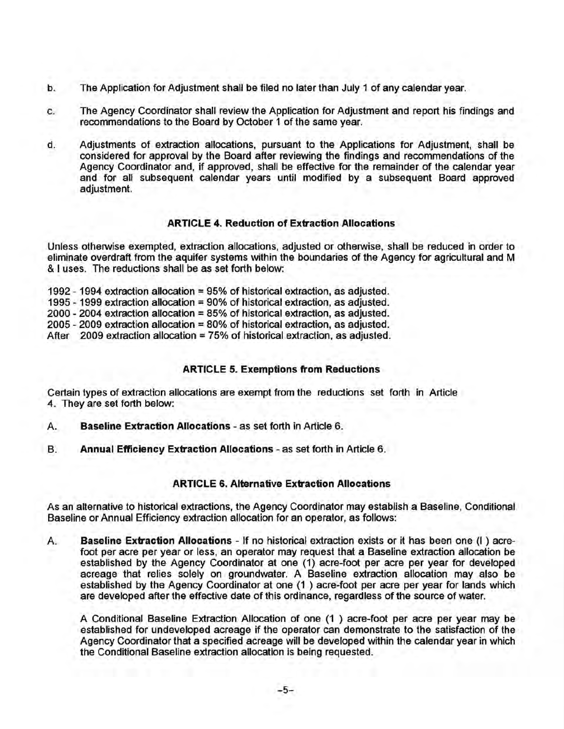- b. The Application for Adjustment shall be filed no later than July 1 of any calendar year.
- c. The Agency Coordinator shall review the Application for Adjustment and report his findings and recommendations to the Board by October 1 of the same year.
- d. Adjustments of extraction allocations, pursuant to the Applications for Adjustment, shall be considered for approval by the Board after reviewing the findings and recommendations of the Agency Coordinator and, if approved, shall be effective for the remainder of the calendar year and for all subsequent calendar years until modified by a subsequent Board approved adjustment.

## **ARTICLE 4. Reduction of Extraction Allocations**

Unless otherwise exempted, extraction allocations, adjusted or otherwise, shall be reduced in order to eliminate overdraft from the aquifer systems within the boundaries of the Agency for agricultural and M & I uses. The reductions shall be as set forth below:

1992- 1994 extraction allocation= 95% of historical extraction, as adjusted. 1995 - 1999 extraction allocation = 90% of historical extraction, as adjusted. 2000- 2004 extraction allocation= 85% of historical extraction, as adjusted. 2005 - 2009 extraction allocation = 80% of historical extraction, as adjusted. After 2009 extraction allocation = 75% of historical extraction, as adjusted.

# **ARTICLE 5. Exemptions from Reductions**

Certain types of extraction allocations are exempt from the reductions set forth in Article 4. They are set forth below:

- A. **Baseline Extraction Allocations-** as set forth in Article 6.
- B. **Annual Efficiency Extraction Allocations**  as set forth in Article 6.

# **ARTICLE 6. Alternative Extraction Allocations**

As an alternative to historical extractions, the Agency Coordinator may establish a Baseline, Conditional Baseline or Annual Efficiency extraction allocation for an operator, as follows:

A. **Baseline Extraction Allocations** - If no historical extraction exists or it has been one (I ) acrefoot per acre per year or less, an operator may request that a Baseline extraction allocation be established by the Agency Coordinator at one (1) acre-foot per acre per year for developed acreage that relies solely on groundwater. A Baseline extraction allocation may also be established by the Agency Coordinator at one (1 ) acre-foot per acre per year for lands which are developed after the effective date of this ordinance, regardless of the source of water.

A Conditional Baseline Extraction Allocation of one (1 ) acre-foot per acre per year may be established for undeveloped acreage if the operator can demonstrate to the satisfaction of the Agency Coordinator that a specified acreage will be developed within the calendar year in which the Conditional Baseline extraction allocation is being requested.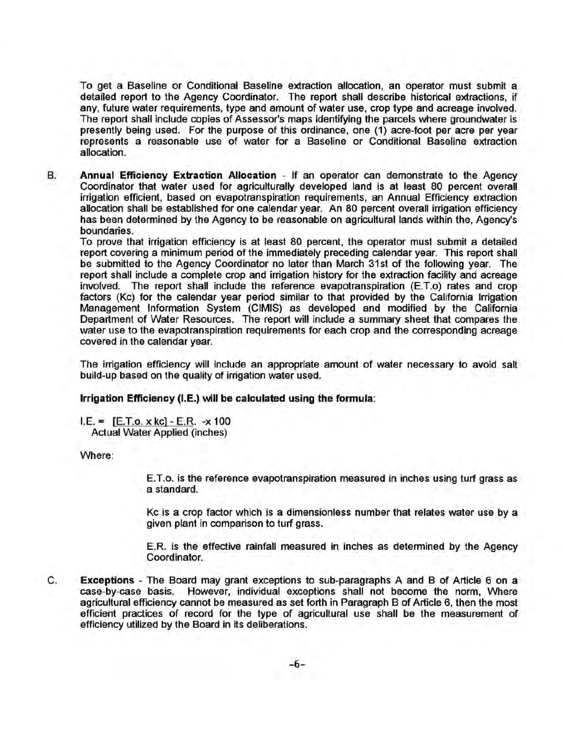To get a Baseline or Conditional Baseline extraction allocation, an operator must submit a detailed report to the Agency Coordinator. The report shall describe historical extractions, if any, future water requirements, type and amount of water use, crop type and acreage involved. The report shall include copies of Assessor's maps identifying the parcels where groundwater is presently being used. For the purpose of this ordinance, one (1) acre-foot per acre per year represents a reasonable use of water for a Baseline or Conditional Baseline extraction allocation.

B. **Annual Efficiency Extraction Allocation** - If an operator can demonstrate to the Agency Coordinator that water used for agriculturally developed land is at least 80 percent overall irrigation efficient, based on evapotranspiration requirements, an Annual Efficiency extraction allocation shall be established for one calendar year. An 80 percent overall irrigation efficiency has been determined by the Agency to be reasonable on agricultural lands within the, Agency's boundaries.

To prove that irrigation efficiency is at least 80 percent, the operator must submit a detailed report covering a minimum period of the immediately preceding calendar year. This report shall be submitted to the Agency Coordinator no later than March 31st of the following year. The report shall include a complete crop and irrigation history for the extraction facility and acreage involved. The report shall include the reference evapotranspiration (E.T.o) rates and crop factors (Kc) for the calendar year period similar to that provided by the California Irrigation Management Information System (CIMIS) as developed and modified by the California Department of Water Resources. The report will include a summary sheet that compares the water use to the evapotranspiration requirements for each crop and the corresponding acreage covered in the calendar year.

The irrigation efficiency will include an appropriate amount of water necessary to avoid salt build-up based on the quality of irrigation water used.

**Irrigation Efficiency** (I.E.) **will be calculated using the formula:** 

 $I.E. = [E.T.o. x kc] - E.R. -x 100$ Actual Water Applied (inches)

Where:

E.T.o. is the reference evapotranspiration measured in inches using turf grass as a standard.

Kc is a crop factor which is a dimensionless number that relates water use by a given plant in comparison to turf grass.

E.R. is the effective rainfall measured in inches as determined by the Agency Coordinator.

C. **Exceptions** - The Board may grant exceptions to sub-paragraphs A and B of Article 6 on a case-by-case basis. However, individual exceptions shall not become the norm, Where agricultural efficiency cannot be measured as set forth in Paragraph B of Article 6, then the most efficient practices of record for the type of agricultural use shall be the measurement of efficiency utilized by the Board in its deliberations.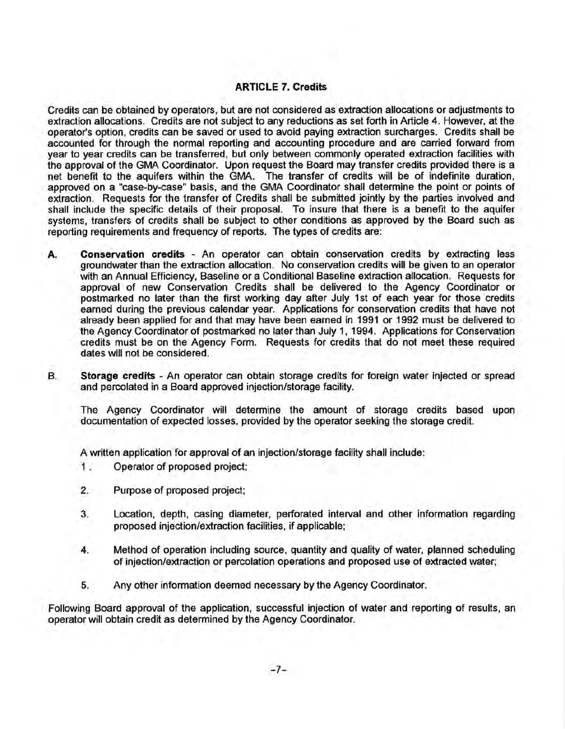# ARTICLE 7. Credits

Credits can be obtained by operators, but are not considered as extraction allocations or adjustments to extraction allocations. Credits are not subject to any reductions as set forth in Article 4. However, at the operator's option, credits can be saved or used to avoid paying extraction surcharges. Credits shall be accounted for through the normal reporting and accounting procedure and are carried forward from year to year credits can be transferred, but only between commonly operated extraction facilities with the approval of the GMA Coordinator. Upon request the Board may transfer credits provided there is a net benefit to the aquifers within the GMA. The transfer of credits will be of indefinite duration, approved on a "case-by-case" basis, and the GMA Coordinator shall determine the point or points of extraction. Requests for the transfer of Credits shall be submitted jointly by the parties involved and shall include the specific details of their proposal. To insure that there is a benefit to the aquifer systems, transfers of credits shall be subject to other conditions as approved by the Board such as reporting requirements and frequency of reports. The types of credits are:

- A. Conservation credits An operator can obtain conservation credits by extracting less groundwater than the extraction allocation. No conservation credits will be given to an operator with an Annual Efficiency, Baseline or a Conditional Baseline extraction allocation. Requests for approval of new Conservation Credits shall be delivered to the Agency Coordinator or postmarked no later than the first working day after July 1st of each year for those credits earned during the previous calendar year. Applications for conservation credits that have not already been applied for and that may have been earned in 1991 or 1992 must be delivered to the Agency Coordinator of postmarked no later than July 1, 1994. Applications for Conservation credits must be on the Agency Form. Requests for credits that do not meet these required dates will not be considered.
- B. Storage credits An operator can obtain storage credits for foreign water injected or spread and percolated in a Board approved injection/storage facility.

The Agency Coordinator will determine the amount of storage credits based upon documentation of expected losses, provided by the operator seeking the storage credit.

A written application for approval of an injection/storage facility shall include:

- 1 . Operator of proposed project;
- 2. Purpose of proposed project;
- 3. Location, depth, casing diameter, perforated interval and other information regarding proposed injection/extraction facilities, if applicable;
- 4. Method of operation including source, quantity and quality of water, planned scheduling of injection/extraction or percolation operations and proposed use of extracted water;
- 5. Any other information deemed necessary by the Agency Coordinator.

Following Board approval of the application, successful injection of water and reporting of results, an operator will obtain credit as determined by the Agency Coordinator.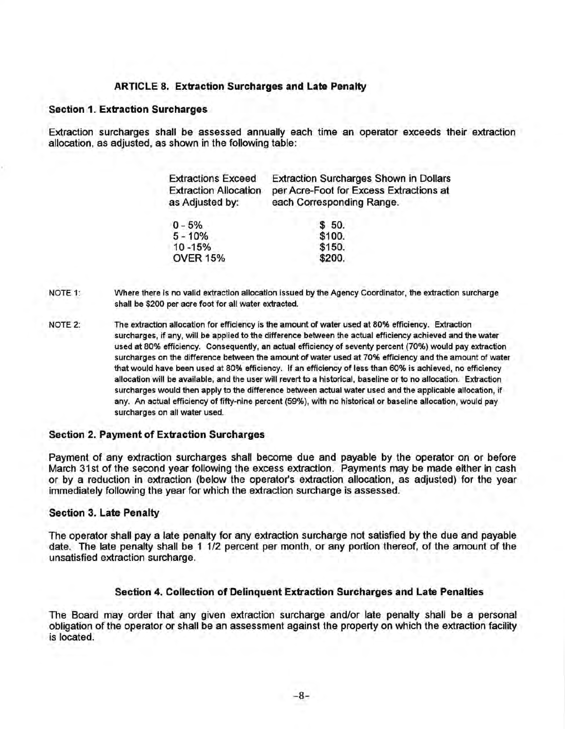### ARTICLE 8. Extraction Surcharges and Late Penalty

#### Section 1. Extraction Surcharges

Extraction surcharges shall be assessed annually each time an operator exceeds their extraction allocation, as adjusted, as shown in the following table:

| <b>Extractions Exceed</b><br><b>Extraction Allocation</b><br>as Adjusted by: | <b>Extraction Surcharges Shown in Dollars</b><br>per Acre-Foot for Excess Extractions at<br>each Corresponding Range. |
|------------------------------------------------------------------------------|-----------------------------------------------------------------------------------------------------------------------|
| $0 - 5%$                                                                     | \$ 50.                                                                                                                |
| $5 - 10%$                                                                    | \$100.                                                                                                                |
| 10 - 15%                                                                     | \$150.                                                                                                                |
| <b>OVER 15%</b>                                                              | \$200.                                                                                                                |

NOTE 1: Where there is no valid extraction allocation issued by the Agency Coordinator, the extraction surcharge shall be \$200 per acre foot for all water extracted.

NOTE 2: The extraction allocation for efficiency is the amount of water used at 80% efficiency. Extraction surcharges, if any, will be applied to the difference between the actual efficiency achieved and the water used at 80% efficiency. Consequently, an actual efficiency of seventy percent (70%) would pay extraction surcharges on the difference between the amount of water used at 70% efficiency and the amount of water that would have been used at 80% efficiency. If an efficiency of less than 60% is achieved, no efficiency allocation will be available, and the user will revert to a historical, baseline or to no allocation. Extraction surcharges would then apply to the difference between actual water used and the applicable allocation, if any. An actual efficiency of fifty-nine percent (59%), with no historical or baseline allocation, would pay surcharges on all water used.

### Section 2. Payment of Extraction Surcharges

Payment of any extraction surcharges shall become due and payable by the operator on or before March 31st of the second year following the excess extraction. Payments may be made either in cash or by a reduction in extraction (below the operator's extraction allocation, as adjusted) for the year immediately following the year for which the extraction surcharge is assessed.

### Section 3. Late Penalty

The operator shall pay a late penalty for any extraction surcharge not satisfied by the due and payable date. The late penalty shall be 1 1/2 percent per month, or any portion thereof, of the amount of the unsatisfied extraction surcharge.

### Section 4. Collection of Delinquent Extraction Surcharges and Late Penalties

The Board may order that any given extraction surcharge and/or late penalty shall be a personal obligation of the operator or shall be an assessment against the property on which the extraction facility is located.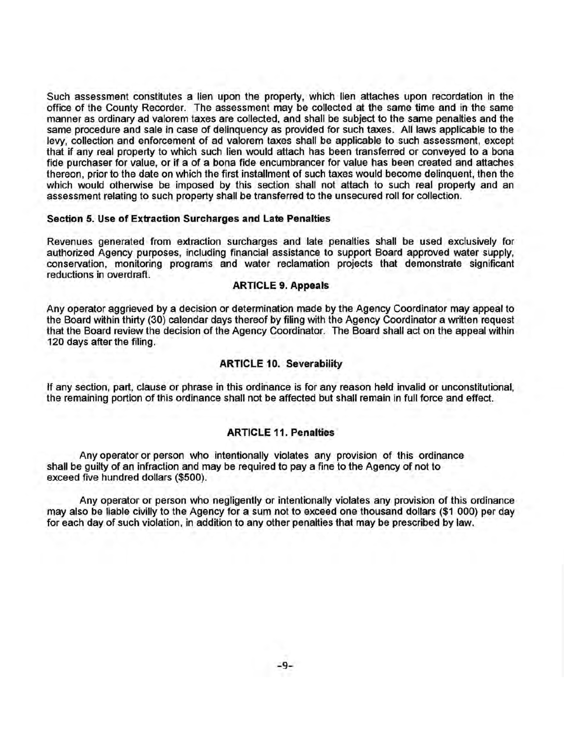Such assessment constitutes a lien upon the property, which lien attaches upon recordation in the office of the County Recorder. The assessment may be collected at the same time and in the same manner as ordinary ad valorem taxes are collected, and shall be subject to the same penalties and the same procedure and sale in case of delinquency as provided for such taxes. All laws applicable to the levy, collection and enforcement of ad valorem taxes shall be applicable to such assessment, except that if any real property to which such lien would attach has been transferred or conveyed to a bona fide purchaser for value, or if a of a bona fide encumbrancer for value has been created and attaches thereon, prior to the date on which the first installment of such taxes would become delinquent, then the which would otherwise be imposed by this section shall not attach to such real property and an assessment relating to such property shall be transferred to the unsecured roll for collection.

### Section 5. Use of Extraction Surcharges and Late Penalties

Revenues generated from extraction surcharges and late penalties shall be used exclusively for authorized Agency purposes, including financial assistance to support Board approved water supply, conservation, monitoring programs and water reclamation projects that demonstrate significant reductions in overdraft.

### ARTICLE 9. Appeals

Any operator aggrieved by a decision or determination made by the Agency Coordinator may appeal to the Board within thirty (30) calendar days thereof by filing with the Agency Coordinator a written request that the Board review the decision of the Agency Coordinator. The Board shall act on the appeal within 120 days after the filing.

### ARTICLE 10. Severability

If any section, part, clause or phrase in this ordinance is for any reason held invalid or unconstitutional, the remaining portion of this ordinance shall not be affected but shall remain in full force and effect.

### ARTICLE 11. Penalties

Any operator or person who intentionally violates any provision of this ordinance shall be guilty of an infraction and may be required to pay a fine to the Agency of not to exceed five hundred dollars (\$500).

Any operator or person who negligently or intentionally violates any provision of this ordinance may also be liable civilly to the Agency for a sum not to exceed one thousand dollars (\$1 000) per day for each day of such violation, in addition to any other penalties that may be prescribed by law.